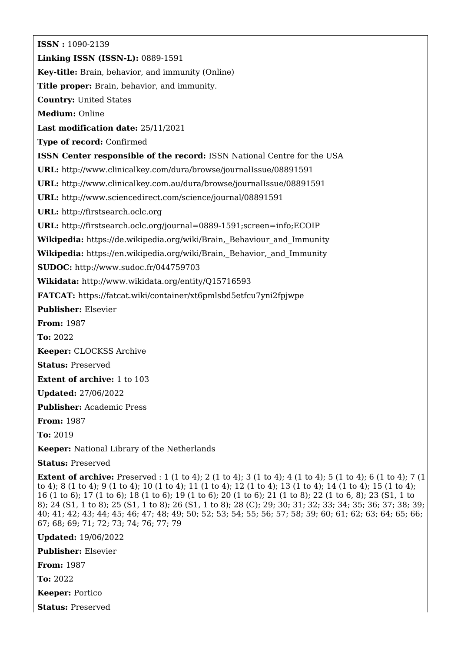**ISSN :** 1090-2139 **Linking ISSN (ISSN-L):** 0889-1591 **Key-title:** Brain, behavior, and immunity (Online) **Title proper:** Brain, behavior, and immunity. **Country:** United States **Medium:** Online **Last modification date:** 25/11/2021 **Type of record:** Confirmed **ISSN Center responsible of the record:** ISSN National Centre for the USA **URL:** <http://www.clinicalkey.com/dura/browse/journalIssue/08891591> **URL:** <http://www.clinicalkey.com.au/dura/browse/journalIssue/08891591> **URL:** <http://www.sciencedirect.com/science/journal/08891591> **URL:** <http://firstsearch.oclc.org> **URL:** <http://firstsearch.oclc.org/journal=0889-1591;screen=info;ECOIP> **Wikipedia:** [https://de.wikipedia.org/wiki/Brain,\\_Behaviour\\_and\\_Immunity](https://de.wikipedia.org/wiki/Brain,_Behaviour_and_Immunity) **Wikipedia:** [https://en.wikipedia.org/wiki/Brain,\\_Behavior,\\_and\\_Immunity](https://en.wikipedia.org/wiki/Brain,_Behavior,_and_Immunity) **SUDOC:** <http://www.sudoc.fr/044759703> **Wikidata:** <http://www.wikidata.org/entity/Q15716593> **FATCAT:** https://fatcat.wiki/container/xt6pmlsbd5etfcu7yni2fpiwpe **Publisher:** Elsevier **From:** 1987 **To:** 2022 **Keeper:** CLOCKSS Archive **Status:** Preserved **Extent of archive:** 1 to 103 **Updated:** 27/06/2022 **Publisher:** Academic Press **From:** 1987 **To:** 2019 **Keeper:** National Library of the Netherlands **Status:** Preserved

**Extent of archive:** Preserved : 1 (1 to 4); 2 (1 to 4); 3 (1 to 4); 4 (1 to 4); 5 (1 to 4); 6 (1 to 4); 7 (1 to 4); 8 (1 to 4); 9 (1 to 4); 10 (1 to 4); 11 (1 to 4); 12 (1 to 4); 13 (1 to 4); 14 (1 to 4); 15 (1 to 4); 16 (1 to 6); 17 (1 to 6); 18 (1 to 6); 19 (1 to 6); 20 (1 to 6); 21 (1 to 8); 22 (1 to 6, 8); 23 (S1, 1 to 8); 24 (S1, 1 to 8); 25 (S1, 1 to 8); 26 (S1, 1 to 8); 28 (C); 29; 30; 31; 32; 33; 34; 35; 36; 37; 38; 39; 40; 41; 42; 43; 44; 45; 46; 47; 48; 49; 50; 52; 53; 54; 55; 56; 57; 58; 59; 60; 61; 62; 63; 64; 65; 66; 67; 68; 69; 71; 72; 73; 74; 76; 77; 79

**Updated:** 19/06/2022

**Publisher:** Elsevier

**From:** 1987

**To:** 2022

**Keeper:** Portico

**Status:** Preserved